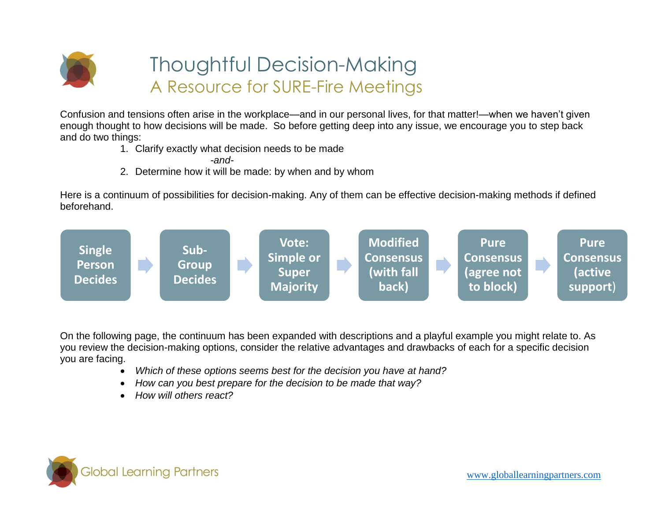

## Thoughtful Decision-Making A Resource for SURE-Fire Meetings

Confusion and tensions often arise in the workplace—and in our personal lives, for that matter!—when we haven't given enough thought to how decisions will be made. So before getting deep into any issue, we encourage you to step back and do two things:

1. Clarify exactly what decision needs to be made

*-and-*

2. Determine how it will be made: by when and by whom

Here is a continuum of possibilities for decision-making. Any of them can be effective decision-making methods if defined beforehand.



On the following page, the continuum has been expanded with descriptions and a playful example you might relate to. As you review the decision-making options, consider the relative advantages and drawbacks of each for a specific decision you are facing.

- *Which of these options seems best for the decision you have at hand?*
- *How can you best prepare for the decision to be made that way?*
- *How will others react?*